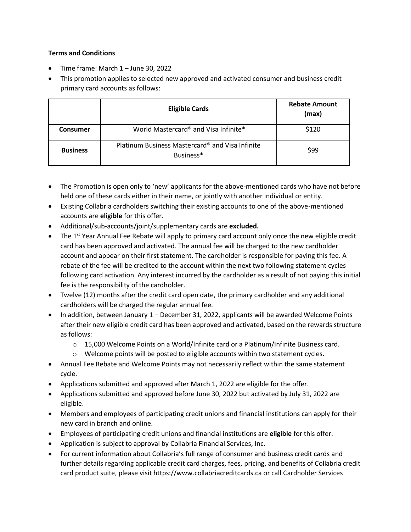## **Terms and Conditions**

- Time frame: March 1 June 30, 2022
- This promotion applies to selected new approved and activated consumer and business credit primary card accounts as follows:

|                 | <b>Eligible Cards</b>                                                    | <b>Rebate Amount</b><br>(max) |
|-----------------|--------------------------------------------------------------------------|-------------------------------|
| Consumer        | World Mastercard® and Visa Infinite*                                     | \$120                         |
| <b>Business</b> | Platinum Business Mastercard <sup>®</sup> and Visa Infinite<br>Business* | \$99                          |

- The Promotion is open only to 'new' applicants for the above-mentioned cards who have not before held one of these cards either in their name, or jointly with another individual or entity.
- Existing Collabria cardholders switching their existing accounts to one of the above-mentioned accounts are **eligible** for this offer.
- Additional/sub-accounts/joint/supplementary cards are **excluded.**
- The 1<sup>st</sup> Year Annual Fee Rebate will apply to primary card account only once the new eligible credit card has been approved and activated. The annual fee will be charged to the new cardholder account and appear on their first statement. The cardholder is responsible for paying this fee. A rebate of the fee will be credited to the account within the next two following statement cycles following card activation. Any interest incurred by the cardholder as a result of not paying this initial fee is the responsibility of the cardholder.
- Twelve (12) months after the credit card open date, the primary cardholder and any additional cardholders will be charged the regular annual fee.
- In addition, between January 1 December 31, 2022, applicants will be awarded Welcome Points after their new eligible credit card has been approved and activated, based on the rewards structure as follows:
	- $\circ$  15,000 Welcome Points on a World/Infinite card or a Platinum/Infinite Business card.
	- $\circ$  Welcome points will be posted to eligible accounts within two statement cycles.
- Annual Fee Rebate and Welcome Points may not necessarily reflect within the same statement cycle.
- Applications submitted and approved after March 1, 2022 are eligible for the offer.
- Applications submitted and approved before June 30, 2022 but activated by July 31, 2022 are eligible.
- Members and employees of participating credit unions and financial institutions can apply for their new card in branch and online.
- Employees of participating credit unions and financial institutions are **eligible** for this offer.
- Application is subject to approval by Collabria Financial Services, Inc.
- For current information about Collabria's full range of consumer and business credit cards and further details regarding applicable credit card charges, fees, pricing, and benefits of Collabria credit card product suite, please visit https://www.collabriacreditcards.ca or call Cardholder Services